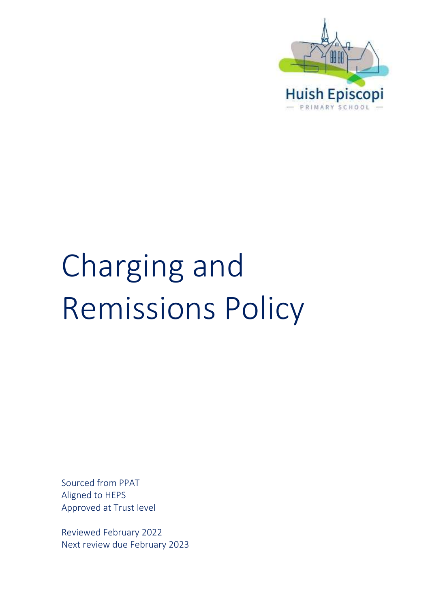

# Charging and Remissions Policy

Sourced from PPAT Aligned to HEPS Approved at Trust level

Reviewed February 2022 Next review due February 2023